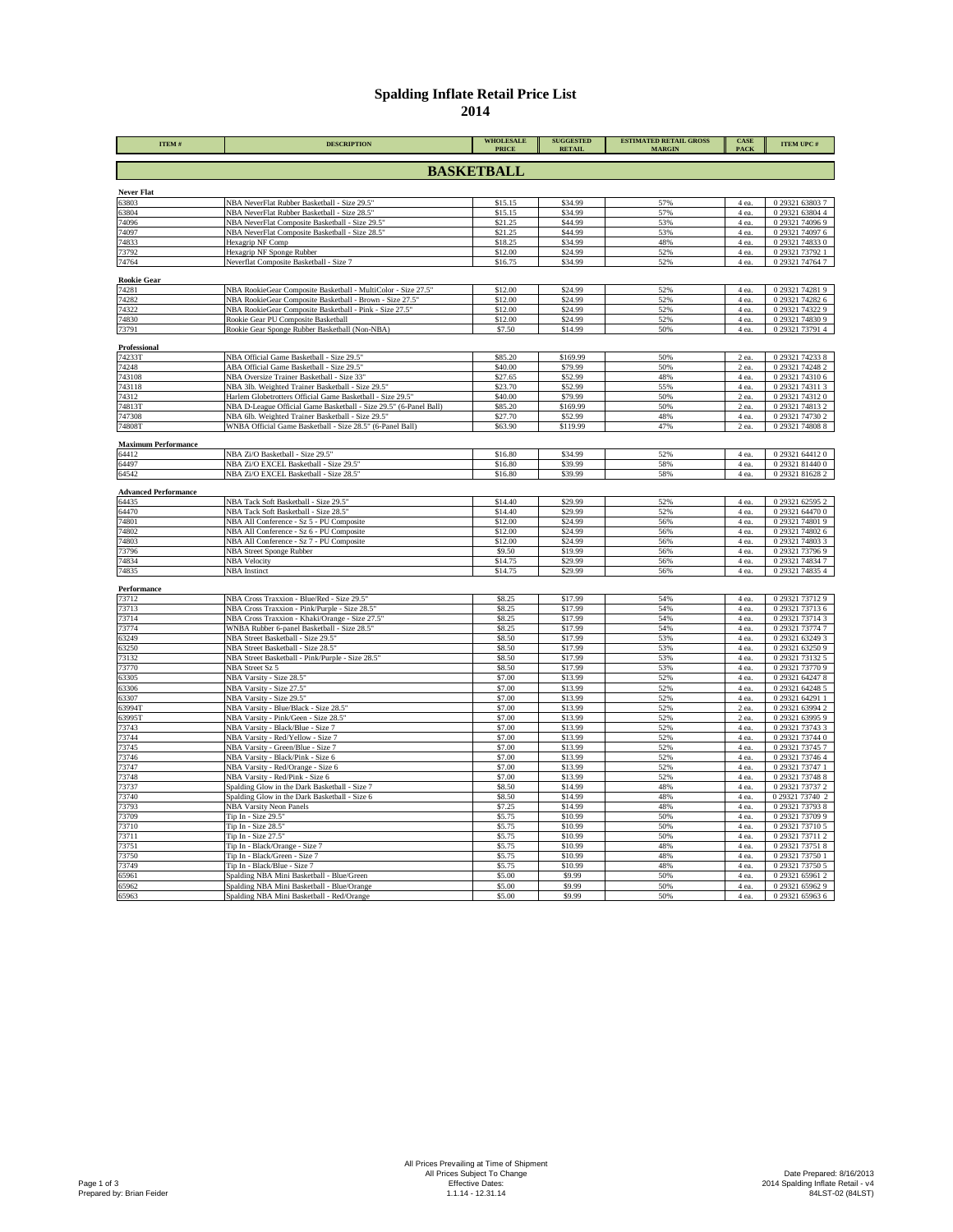## **Spalding Inflate Retail Price List**

| ITEM#                                | <b>DESCRIPTION</b>                                                                                                     | <b>WHOLESALE</b><br><b>PRICE</b> | <b>SUGGESTED</b><br><b>RETAIL</b> | <b>ESTIMATED RETAIL GROSS</b><br><b>MARGIN</b> | CASE<br>PACK     | <b>ITEM UPC#</b>                   |  |  |
|--------------------------------------|------------------------------------------------------------------------------------------------------------------------|----------------------------------|-----------------------------------|------------------------------------------------|------------------|------------------------------------|--|--|
| <b>BASKETBALL</b>                    |                                                                                                                        |                                  |                                   |                                                |                  |                                    |  |  |
| <b>Never Flat</b>                    |                                                                                                                        |                                  |                                   |                                                |                  |                                    |  |  |
| 63803                                | NBA NeverFlat Rubber Basketball - Size 29.5"                                                                           | \$15.15                          | \$34.99                           | 57%                                            | 4 ea.            | 0 29321 63803 7                    |  |  |
| 63804                                | NBA NeverFlat Rubber Basketball - Size 28.5"                                                                           | \$15.15                          | \$34.99                           | 57%                                            | 4 ea.            | 0 29321 63804 4                    |  |  |
| 74096                                | NBA NeverFlat Composite Basketball - Size 29.5'                                                                        | \$21.25                          | \$44.99                           | 53%                                            | 4 ea.            | 0 29321 74096 9                    |  |  |
| 74097                                | NBA NeverFlat Composite Basketball - Size 28.5"                                                                        | \$21.25                          | \$44.99<br>\$34.99                | 53%                                            | 4 ea.            | 0 29321 74097 6<br>0 29321 74833 0 |  |  |
| 74833<br>73792                       | Hexagrip NF Comp<br>Hexagrip NF Sponge Rubber                                                                          | \$18.25<br>\$12.00               | \$24.99                           | 48%<br>52%                                     | 4 ea.<br>$4$ ea. | 0 29321 73792 1                    |  |  |
| 74764                                | Neverflat Composite Basketball - Size 7                                                                                | \$16.75                          | \$34.99                           | 52%                                            | 4 ea.            | 0 29321 74764 7                    |  |  |
| <b>Rookie Gear</b>                   |                                                                                                                        |                                  |                                   |                                                |                  |                                    |  |  |
| 74281                                | NBA RookieGear Composite Basketball - MultiColor - Size 27.5"                                                          | \$12.00                          | \$24.99                           | 52%                                            | 4 ea.            | 0 29321 74281 9                    |  |  |
| 74282                                | NBA RookieGear Composite Basketball - Brown - Size 27.5'                                                               | \$12.00                          | \$24.99                           | 52%                                            | 4 ea.            | 0 29321 74282 6                    |  |  |
| 74322                                | NBA RookieGear Composite Basketball - Pink - Size 27.5"                                                                | \$12.00                          | \$24.99                           | 52%                                            | 4 ea.            | 0 29321 74322 9                    |  |  |
| 74830                                | Rookie Gear PU Composite Basketball                                                                                    | \$12.00                          | \$24.99                           | 52%                                            | 4 ea.            | 0 29321 74830 9                    |  |  |
| 73791                                | Rookie Gear Sponge Rubber Basketball (Non-NBA)                                                                         | \$7.50                           | \$14.99                           | 50%                                            | 4 ea.            | 0 29321 73791 4                    |  |  |
| Professional                         |                                                                                                                        |                                  |                                   |                                                |                  |                                    |  |  |
| 74233T                               | NBA Official Game Basketball - Size 29.5"                                                                              | \$85.20                          | \$169.99                          | 50%                                            | $2$ ea.          | 0 29321 74233 8                    |  |  |
| 74248                                | ABA Official Game Basketball - Size 29.5"                                                                              | \$40.00                          | \$79.99                           | 50%                                            | 2 ea.            | 0 29321 74248 2                    |  |  |
| 743108                               | NBA Oversize Trainer Basketball - Size 33"                                                                             | \$27.65                          | \$52.99                           | 48%                                            | 4 ea.            | 0 29321 74310 6                    |  |  |
| 743118                               | NBA 3lb. Weighted Trainer Basketball - Size 29.5'                                                                      | \$23.70                          | \$52.99                           | 55%<br>50%                                     | 4 ea.            | 0 29321 74311 3                    |  |  |
| 74312<br>74813T                      | Harlem Globetrotters Official Game Basketball - Size 29.5"                                                             | \$40.00<br>\$85.20               | \$79.99<br>\$169.99               | 50%                                            | 2 ea.<br>2 ea.   | 0 29321 74312 0<br>0 29321 74813 2 |  |  |
| 747308                               | NBA D-League Official Game Basketball - Size 29.5" (6-Panel Ball)<br>NBA 6lb. Weighted Trainer Basketball - Size 29.5" | \$27.70                          | \$52.99                           | 48%                                            | 4 ea.            | 0 29321 74730 2                    |  |  |
| 74808T                               | WNBA Official Game Basketball - Size 28.5" (6-Panel Ball)                                                              | \$63.90                          | \$119.99                          | 47%                                            | 2 ea.            | 0 29321 74808 8                    |  |  |
|                                      |                                                                                                                        |                                  |                                   |                                                |                  |                                    |  |  |
| <b>Maximum Performance</b><br>64412  | NBA Zi/O Basketball - Size 29.5"                                                                                       | \$16.80                          | \$34.99                           | 52%                                            | 4 ea.            | 0 29321 64412 0                    |  |  |
| 64497                                | NBA Zi/O EXCEL Basketball - Size 29.5"                                                                                 | \$16.80                          | \$39.99                           | 58%                                            | 4 ea.            | 0 29321 81440 0                    |  |  |
| 64542                                | NBA Zi/O EXCEL Basketball - Size 28.5"                                                                                 | \$16.80                          | \$39.99                           | 58%                                            | 4 ea.            | 0 29321 81628 2                    |  |  |
|                                      |                                                                                                                        |                                  |                                   |                                                |                  |                                    |  |  |
| <b>Advanced Performance</b><br>64435 | NBA Tack Soft Basketball - Size 29.5"                                                                                  | \$14.40                          | \$29.99                           | 52%                                            | 4 ea.            | 0 29321 62595 2                    |  |  |
| 64470                                | NBA Tack Soft Basketball - Size 28.5"                                                                                  | \$14.40                          | \$29.99                           | 52%                                            | 4 ea.            | 0 29321 64470 0                    |  |  |
| 74801                                | NBA All Conference - Sz 5 - PU Composite                                                                               | \$12.00                          | \$24.99                           | 56%                                            | 4 ea.            | 0 29321 74801 9                    |  |  |
| 74802                                | NBA All Conference - Sz 6 - PU Composite                                                                               | \$12.00                          | \$24.99                           | 56%                                            | 4 ea.            | 0 29321 74802 6                    |  |  |
| 74803                                | NBA All Conference - Sz 7 - PU Composite                                                                               | \$12.00                          | \$24.99                           | 56%                                            | 4 ea.            | 0 29321 74803 3                    |  |  |
| 73796                                | NBA Street Sponge Rubber                                                                                               | \$9.50                           | \$19.99                           | 56%                                            | 4 ea.            | 0 29321 73796 9                    |  |  |
| 74834                                | <b>NBA Velocity</b>                                                                                                    | \$14.75                          | \$29.99                           | 56%                                            | 4 ea.            | 0 29321 74834 7                    |  |  |
| 74835                                | <b>NBA</b> Instinct                                                                                                    | \$14.75                          | \$29.99                           | 56%                                            | 4 ea.            | 0 29321 74835 4                    |  |  |
| Performance                          |                                                                                                                        |                                  |                                   |                                                |                  |                                    |  |  |
| 73712                                | NBA Cross Traxxion - Blue/Red - Size 29.5"                                                                             | \$8.25                           | \$17.99                           | 54%                                            | 4 ea.            | 0 29321 73712 9                    |  |  |
| 73713                                | NBA Cross Traxxion - Pink/Purple - Size 28.5                                                                           | \$8.25                           | \$17.99                           | 54%                                            | 4 ea.            | 0 29321 73713 6                    |  |  |
| 73714                                | NBA Cross Traxxion - Khaki/Orange - Size 27.5"                                                                         | \$8.25                           | \$17.99<br>\$17.99                | 54%<br>54%                                     | 4 ea.            | 0 29321 73714 3<br>0 29321 73774 7 |  |  |
| 73774<br>63249                       | WNBA Rubber 6-panel Basketball - Size 28.5"<br>NBA Street Basketball - Size 29.5'                                      | \$8.25<br>\$8.50                 | \$17.99                           | 53%                                            | 4 ea.<br>4 ea.   | 0 29321 63249 3                    |  |  |
| 63250                                | NBA Street Basketball - Size 28.5"                                                                                     | \$8.50                           | \$17.99                           | 53%                                            | 4 ea.            | 0 29321 63250 9                    |  |  |
| 73132                                | NBA Street Basketball - Pink/Purple - Size 28.5"                                                                       | \$8.50                           | \$17.99                           | 53%                                            | 4 ea.            | 0 29321 73132 5                    |  |  |
| 73770                                | NBA Street Sz 5                                                                                                        | \$8.50                           | \$17.99                           | 53%                                            | 4 ea.            | 0 29321 73770 9                    |  |  |
| 63305                                | NBA Varsity - Size 28.5"                                                                                               | \$7.00                           | \$13.99                           | 52%                                            | 4 ea.            | 0 29321 64247 8                    |  |  |
| 63306                                | NBA Varsity - Size 27.5"                                                                                               | \$7.00                           | \$13.99                           | 52%                                            | 4 ea.            | 0 29321 64248 5                    |  |  |
| 63307                                | NBA Varsity - Size 29.5"                                                                                               | \$7.00                           | \$13.99                           | 52%                                            | 4 ea.            | 0 29321 64291 1                    |  |  |
| 63994T                               | NBA Varsity - Blue/Black - Size 28.5"                                                                                  | \$7.00                           | \$13.99                           | 52%                                            | 2 ea.            | 0 29321 63994 2                    |  |  |
| 63995T<br>73743                      | NBA Varsity - Pink/Geen - Size 28.5"<br>NBA Varsity - Black/Blue - Size 7                                              | \$7.00<br>\$7.00                 | \$13.99<br>\$13.99                | 52%<br>52%                                     | 2 ea.<br>4 ea.   | 0 29321 63995 9<br>0 29321 73743 3 |  |  |
| 73744                                | NBA Varsity - Red/Yellow - Size 7                                                                                      | \$7.00                           | \$13.99                           | 52%                                            | 4 ea.            | 0 29321 73744 0                    |  |  |
| 73745                                | NBA Varsity - Green/Blue - Size 7                                                                                      | \$7.00                           | \$13.99                           | 52%                                            | 4 ea.            | 0 29321 73745 7                    |  |  |
| 73746                                | NBA Varsity - Black/Pink - Size 6                                                                                      | \$7.00                           | \$13.99                           | 52%                                            | 4 ea.            | 0 29321 73746 4                    |  |  |
| 73747                                | NBA Varsity - Red/Orange - Size 6                                                                                      | \$7.00                           | \$13.99                           | 52%                                            | 4 ea.            | 0 29321 73747 1                    |  |  |
| 73748                                | NBA Varsity - Red/Pink - Size 6                                                                                        | \$7.00                           | \$13.99                           | 52%                                            | 4 ea.            | 0 29321 73748 8                    |  |  |
| 73737                                | Spalding Glow in the Dark Basketball - Size 7                                                                          | \$8.50                           | \$14.99                           | 48%                                            | 4 ea.            | 0 29321 73737 2                    |  |  |
| 73740                                | Spalding Glow in the Dark Basketball - Size 6                                                                          | \$8.50                           | \$14.99                           | 48%                                            | 4 ea.            | 0 29321 73740 2                    |  |  |
| 73793                                | <b>NBA Varsity Neon Panels</b>                                                                                         | \$7.25<br>\$5.75                 | \$14.99<br>\$10.99                | 48%<br>50%                                     | 4 ea.            | 0 29321 73793 8<br>0 29321 73709 9 |  |  |
| 73709<br>73710                       | Tip In - Size 29.5"<br>Tip In - Size 28.5"                                                                             | \$5.75                           | \$10.99                           | 50%                                            | 4 ea.<br>$4$ ea. | 0 29321 73710 5                    |  |  |
| 73711                                | Tip In - Size 27.5"                                                                                                    | \$5.75                           | \$10.99                           | 50%                                            | $4$ ea.          | 0 29321 73711 2                    |  |  |
| 73751                                | Tip In - Black/Orange - Size 7                                                                                         | \$5.75                           | \$10.99                           | 48%                                            | 4 ea.            | 0 29321 73751 8                    |  |  |
| 73750                                | Tip In - Black/Green - Size 7                                                                                          | \$5.75                           | \$10.99                           | 48%                                            | 4 ea.            | 0 29321 73750 1                    |  |  |
| 73749                                | Tip In - Black/Blue - Size 7                                                                                           | \$5.75                           | \$10.99                           | 48%                                            | 4 ea.            | 0 29321 73750 5                    |  |  |
| 65961                                | Spalding NBA Mini Basketball - Blue/Green                                                                              | \$5.00                           | \$9.99                            | 50%                                            | 4 ea.            | 0 29321 65961 2                    |  |  |
| 65962                                | Spalding NBA Mini Basketball - Blue/Orange                                                                             | \$5.00                           | \$9.99                            | 50%                                            | 4 ea.            | 0 29321 65962 9                    |  |  |
| 65963                                | Spalding NBA Mini Basketball - Red/Orange                                                                              | \$5.00                           | \$9.99                            | 50%                                            | 4 ea.            | 0 29321 65963 6                    |  |  |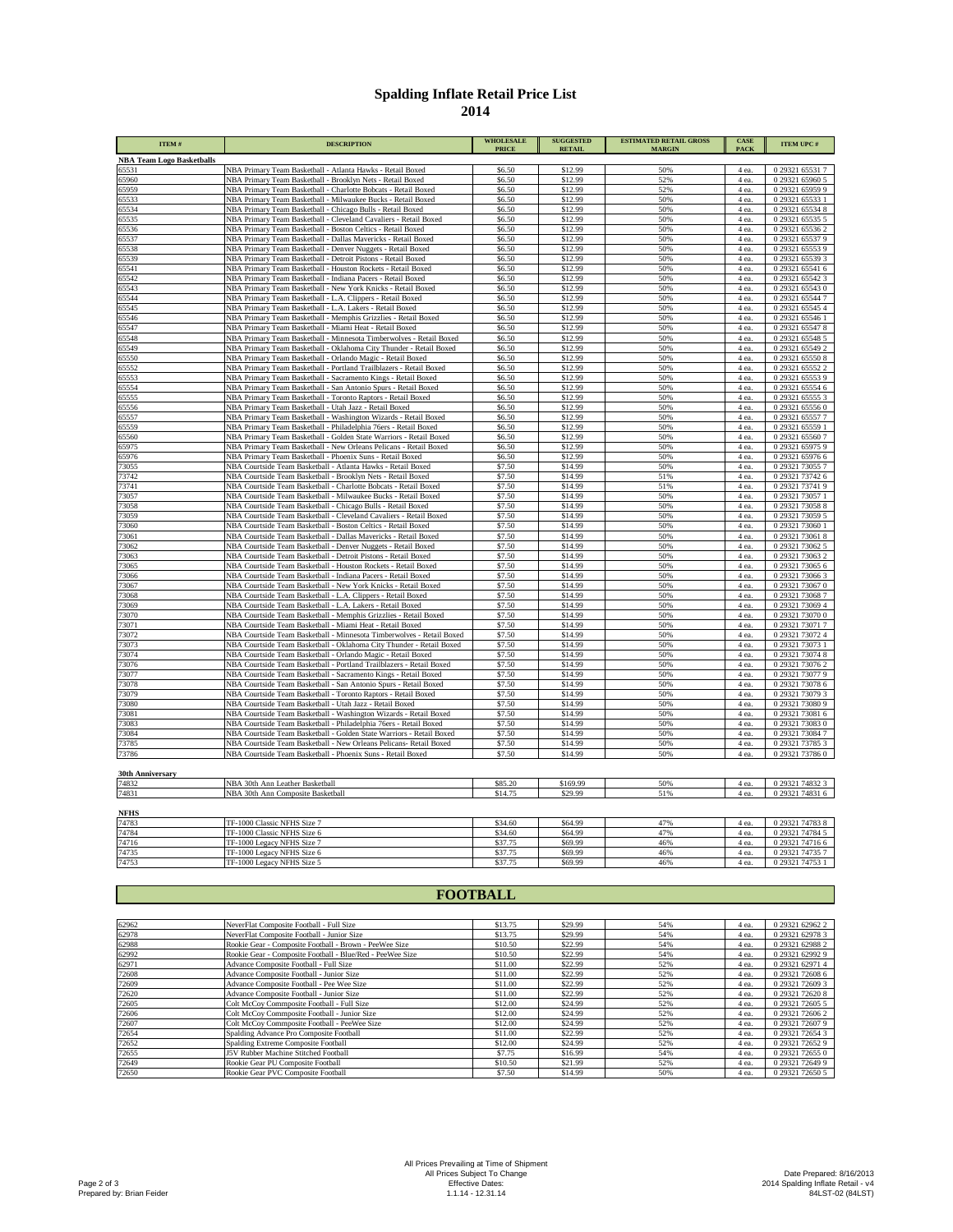## **Spalding Inflate Retail Price List**

| ITEM#                            | <b>DESCRIPTION</b>                                                                                                                        | <b>WHOLESALE</b><br><b>PRICE</b> | <b>SUGGESTED</b><br><b>RETAIL</b> | <b>ESTIMATED RETAIL GROSS</b><br><b>MARGIN</b> | CASE<br>PACK   | <b>ITEM UPC#</b>                   |
|----------------------------------|-------------------------------------------------------------------------------------------------------------------------------------------|----------------------------------|-----------------------------------|------------------------------------------------|----------------|------------------------------------|
| <b>NBA Team Logo Basketballs</b> |                                                                                                                                           |                                  |                                   |                                                |                |                                    |
| 65531                            | NBA Primary Team Basketball - Atlanta Hawks - Retail Boxed                                                                                | \$6.50                           | \$12.99                           | 50%                                            | 4 ea.          | 0 29321 65531 7                    |
| 65960                            | NBA Primary Team Basketball - Brooklyn Nets - Retail Boxed                                                                                | \$6.50                           | \$12.99                           | 52%                                            | 4 ea.          | 0 29321 65960 5                    |
| 65959                            | NBA Primary Team Basketball - Charlotte Bobcats - Retail Boxed                                                                            | \$6.50                           | \$12.99                           | 52%                                            | 4 ea.          | 0 29321 65959 9                    |
| 65533                            | NBA Primary Team Basketball - Milwaukee Bucks - Retail Boxed                                                                              | \$6.50                           | \$12.99                           | 50%                                            | 4 ea.          | 0 29321 65533 1                    |
| 65534                            | NBA Primary Team Basketball - Chicago Bulls - Retail Boxed                                                                                | \$6.50                           | \$12.99                           | 50%                                            | 4 ea.          | 0 29321 65534 8                    |
| 65535<br>65536                   | NBA Primary Team Basketball - Cleveland Cavaliers - Retail Boxed<br>NBA Primary Team Basketball - Boston Celtics - Retail Boxed           | \$6.50<br>\$6.50                 | \$12.99<br>\$12.99                | 50%<br>50%                                     | 4 ea.<br>4 ea. | 0 29321 65535 5<br>0 29321 65536 2 |
| 65537                            | NBA Primary Team Basketball - Dallas Mavericks - Retail Boxed                                                                             | \$6.50                           | \$12.99                           | 50%                                            | 4 ea.          | 0 29321 65537 9                    |
| 65538                            | NBA Primary Team Basketball - Denver Nuggets - Retail Boxed                                                                               | \$6.50                           | \$12.99                           | 50%                                            | 4 ea.          | 0 29321 65553 9                    |
| 65539                            | NBA Primary Team Basketball - Detroit Pistons - Retail Boxed                                                                              | \$6.50                           | \$12.99                           | 50%                                            | 4 ea.          | 0 29321 65539 3                    |
| 65541                            | NBA Primary Team Basketball - Houston Rockets - Retail Boxed                                                                              | \$6.50                           | \$12.99                           | 50%                                            | 4 ea.          | 0 29321 65541 6                    |
| 65542                            | NBA Primary Team Basketball - Indiana Pacers - Retail Boxed                                                                               | \$6.50                           | \$12.99                           | 50%                                            | 4 ea.          | 0 29321 65542 3                    |
| 65543                            | NBA Primary Team Basketball - New York Knicks - Retail Boxed                                                                              | \$6.50                           | \$12.99                           | 50%                                            | 4 ea.          | 0 29321 65543 0                    |
| 65544                            | NBA Primary Team Basketball - L.A. Clippers - Retail Boxed                                                                                | \$6.50                           | \$12.99                           | 50%                                            | 4 ea.          | 0 29321 65544 7                    |
| 65545                            | NBA Primary Team Basketball - L.A. Lakers - Retail Boxed                                                                                  | \$6.50                           | \$12.99                           | 50%                                            | 4 ea.          | 0 29321 65545 4                    |
| 65546                            | NBA Primary Team Basketball - Memphis Grizzlies - Retail Boxed                                                                            | \$6.50                           | \$12.99                           | 50%                                            | 4 ea.          | 0 29321 65546 1                    |
| 65547                            | NBA Primary Team Basketball - Miami Heat - Retail Boxed                                                                                   | \$6.50                           | \$12.99                           | 50%                                            | 4 ea.          | 0 29321 65547 8                    |
| 65548                            | NBA Primary Team Basketball - Minnesota Timberwolves - Retail Boxed                                                                       | \$6.50                           | \$12.99                           | 50%                                            | 4 ea.          | 0 29321 65548 5                    |
| 65549                            | NBA Primary Team Basketball - Oklahoma City Thunder - Retail Boxed                                                                        | \$6.50                           | \$12.99                           | 50%                                            | 4 ea.          | 0 29321 65549 2                    |
| 65550                            | NBA Primary Team Basketball - Orlando Magic - Retail Boxed                                                                                | \$6.50                           | \$12.99                           | 50%                                            | 4 ea.          | 0 29321 65550 8                    |
| 65552<br>65553                   | NBA Primary Team Basketball - Portland Trailblazers - Retail Boxed                                                                        | \$6.50<br>\$6.50                 | \$12.99<br>\$12.99                | 50%<br>50%                                     | 4 ea.<br>4 ea. | 0 29321 65552 2<br>0 29321 65553 9 |
| 65554                            | NBA Primary Team Basketball - Sacramento Kings - Retail Boxed<br>NBA Primary Team Basketball - San Antonio Spurs - Retail Boxed           | \$6.50                           | \$12.99                           | 50%                                            | 4 ea.          | 0 29321 65554 6                    |
| 65555                            | NBA Primary Team Basketball - Toronto Raptors - Retail Boxed                                                                              | \$6.50                           | \$12.99                           | 50%                                            | 4 ea.          | 0 29321 65555 3                    |
| 65556                            | NBA Primary Team Basketball - Utah Jazz - Retail Boxed                                                                                    | \$6.50                           | \$12.99                           | 50%                                            | 4 ea.          | 0 29321 65556 0                    |
| 65557                            | NBA Primary Team Basketball - Washington Wizards - Retail Boxed                                                                           | \$6.50                           | \$12.99                           | 50%                                            | 4 ea.          | 0 29321 65557 7                    |
| 65559                            | NBA Primary Team Basketball - Philadelphia 76ers - Retail Boxed                                                                           | \$6.50                           | \$12.99                           | 50%                                            | 4 ea.          | 0 29321 65559 1                    |
| 65560                            | NBA Primary Team Basketball - Golden State Warriors - Retail Boxed                                                                        | \$6.50                           | \$12.99                           | 50%                                            | 4 ea.          | 0 29321 65560 7                    |
| 65975                            | NBA Primary Team Basketball - New Orleans Pelicans - Retail Boxed                                                                         | \$6.50                           | \$12.99                           | 50%                                            | 4 ea.          | 0 29321 65975 9                    |
| 65976                            | NBA Primary Team Basketball - Phoenix Suns - Retail Boxed                                                                                 | \$6.50                           | \$12.99                           | 50%                                            | 4 ea.          | 0 29321 65976 6                    |
| 73055                            | NBA Courtside Team Basketball - Atlanta Hawks - Retail Boxed                                                                              | \$7.50                           | \$14.99                           | 50%                                            | 4 ea.          | 0 29321 73055 7                    |
| 73742                            | NBA Courtside Team Basketball - Brooklyn Nets - Retail Boxed                                                                              | \$7.50                           | \$14.99                           | 51%                                            | 4 ea.          | 0 29321 73742 6                    |
| 73741                            | NBA Courtside Team Basketball - Charlotte Bobcats - Retail Boxed                                                                          | \$7.50                           | \$14.99                           | 51%                                            | 4 ea.          | 0 29321 73741 9                    |
| 73057                            | NBA Courtside Team Basketball - Milwaukee Bucks - Retail Boxed                                                                            | \$7.50                           | \$14.99                           | 50%                                            | 4 ea.          | 0 29321 73057 1                    |
| 73058                            | NBA Courtside Team Basketball - Chicago Bulls - Retail Boxed                                                                              | \$7.50                           | \$14.99                           | 50%                                            | 4 ea.          | 0 29321 73058 8                    |
| 73059                            | NBA Courtside Team Basketball - Cleveland Cavaliers - Retail Boxed                                                                        | \$7.50                           | \$14.99                           | 50%                                            | 4 ea.          | 0 29321 73059 5                    |
| 73060                            | NBA Courtside Team Basketball - Boston Celtics - Retail Boxed                                                                             | \$7.50                           | \$14.99                           | 50%                                            | 4 ea.          | 0 29321 73060 1                    |
| 73061                            | NBA Courtside Team Basketball - Dallas Mavericks - Retail Boxed                                                                           | \$7.50                           | \$14.99                           | 50%                                            | 4 ea.          | 0 29321 73061 8                    |
| 73062<br>73063                   | NBA Courtside Team Basketball - Denver Nuggets - Retail Boxed<br>NBA Courtside Team Basketball - Detroit Pistons - Retail Boxed           | \$7.50<br>\$7.50                 | \$14.99<br>\$14.99                | 50%<br>50%                                     | 4 ea.<br>4 ea. | 0 29321 73062 5<br>0 29321 73063 2 |
| 73065                            | NBA Courtside Team Basketball - Houston Rockets - Retail Boxed                                                                            | \$7.50                           | \$14.99                           | 50%                                            | 4 ea.          | 0 29321 73065 6                    |
| 73066                            | NBA Courtside Team Basketball - Indiana Pacers - Retail Boxed                                                                             | \$7.50                           | \$14.99                           | 50%                                            | 4 ea.          | 0 29321 73066 3                    |
| 73067                            | NBA Courtside Team Basketball - New York Knicks - Retail Boxed                                                                            | \$7.50                           | \$14.99                           | 50%                                            | 4 ea.          | 0 29321 73067 0                    |
| 73068                            | NBA Courtside Team Basketball - L.A. Clippers - Retail Boxed                                                                              | \$7.50                           | \$14.99                           | 50%                                            | 4 ea.          | 0 29321 73068 7                    |
| 73069                            | NBA Courtside Team Basketball - L.A. Lakers - Retail Boxed                                                                                | \$7.50                           | \$14.99                           | 50%                                            | 4 ea.          | 0 29321 73069 4                    |
| 73070                            | NBA Courtside Team Basketball - Memphis Grizzlies - Retail Boxed                                                                          | \$7.50                           | \$14.99                           | 50%                                            | 4 ea.          | 0 29321 73070 0                    |
| 73071                            | NBA Courtside Team Basketball - Miami Heat - Retail Boxed                                                                                 | \$7.50                           | \$14.99                           | 50%                                            | 4 ea.          | 0 29321 73071 7                    |
| 73072                            | NBA Courtside Team Basketball - Minnesota Timberwolves - Retail Boxed                                                                     | \$7.50                           | \$14.99                           | 50%                                            | 4 ea.          | 0 29321 73072 4                    |
| 73073                            | NBA Courtside Team Basketball - Oklahoma City Thunder - Retail Boxed                                                                      | \$7.50                           | \$14.99                           | 50%                                            | 4 ea.          | 0 29321 73073 1                    |
| 73074                            | NBA Courtside Team Basketball - Orlando Magic - Retail Boxed                                                                              | \$7.50                           | \$14.99                           | 50%                                            | 4 ea.          | 0 29321 73074 8                    |
| 73076                            | NBA Courtside Team Basketball - Portland Trailblazers - Retail Boxed                                                                      | \$7.50                           | \$14.99                           | 50%                                            | 4 ea.          | 0 29321 73076 2                    |
| 73077                            | NBA Courtside Team Basketball - Sacramento Kings - Retail Boxed                                                                           | \$7.50                           | \$14.99                           | 50%                                            | 4 ea.          | 0 29321 73077 9                    |
| 73078                            | NBA Courtside Team Basketball - San Antonio Spurs - Retail Boxed                                                                          | \$7.50                           | \$14.99                           | 50%                                            | 4 ea.          | 0 29321 73078 6                    |
| 73079                            | NBA Courtside Team Basketball - Toronto Raptors - Retail Boxed                                                                            | \$7.50                           | \$14.99                           | 50%                                            | 4 ea.          | 0 29321 73079 3                    |
| 73080                            | NBA Courtside Team Basketball - Utah Jazz - Retail Boxed                                                                                  | \$7.50<br>\$7.50                 | \$14.99<br>\$14.99                | 50%                                            | 4 ea.          | 0 29321 73080 9                    |
| 73081<br>73083                   | NBA Courtside Team Basketball - Washington Wizards - Retail Boxed                                                                         | \$7.50                           | \$14.99                           | 50%<br>50%                                     | 4 ea.          | 0 29321 73081 6<br>0 29321 73083 0 |
| 73084                            | NBA Courtside Team Basketball - Philadelphia 76ers - Retail Boxed<br>NBA Courtside Team Basketball - Golden State Warriors - Retail Boxed | \$7.50                           | \$14.99                           | 50%                                            | 4 ea.<br>4 ea. | 0 29321 73084 7                    |
| 73785                            | NBA Courtside Team Basketball - New Orleans Pelicans- Retail Boxed                                                                        | \$7.50                           | \$14.99                           | 50%                                            | 4 ea.          | 0 29321 73785 3                    |
| 73786                            | NBA Courtside Team Basketball - Phoenix Suns - Retail Boxed                                                                               | \$7.50                           | \$14.99                           | 50%                                            | 4 ea.          | 0 29321 737860                     |
|                                  |                                                                                                                                           |                                  |                                   |                                                |                |                                    |
| <b>30th Anniversary</b>          |                                                                                                                                           |                                  |                                   |                                                |                |                                    |
| 74832                            | NBA 30th Ann Leather Basketball                                                                                                           | \$85.20                          | \$169.99                          | 50%                                            | 4 ea.          | 0 29321 74832 3                    |
| 74831                            | NBA 30th Ann Composite Basketball                                                                                                         | \$14.75                          | \$29.99                           | 51%                                            | 4 ea.          | 0 29321 74831 6                    |

| <b>NFHS</b> |                             |         |         |     |       |                 |
|-------------|-----------------------------|---------|---------|-----|-------|-----------------|
| 74783       | TF-1000 Classic NFHS Size 7 | \$34.60 | \$64.99 | 47% | 4 ea. | 0 29321 74783 8 |
| 74784       | TF-1000 Classic NFHS Size 6 | \$34.60 | \$64.99 | 47% | 4 ea. | 0 29321 74784 5 |
| 74716       | ITF-1000 Legacy NFHS Size 7 | \$37.75 | \$69.99 | 46% | 4 ea. | 0 29321 74716 6 |
| 74735       | TF-1000 Legacy NFHS Size 6  | \$37.75 | \$69.99 | 46% | 4 ea. | 0 29321 74735 7 |
| 74753       | TF-1000 Legacy NFHS Size 5  | \$37.75 | \$69.99 | 46% | 4 ea. | 0 29321 74753 1 |

## **FOOTBALL**

| 62962 | NeverFlat Composite Football - Full Size                  | \$13.75 | \$29.99 | 54% | 4 ea. | 0 29321 62962 2 |
|-------|-----------------------------------------------------------|---------|---------|-----|-------|-----------------|
| 62978 | NeverFlat Composite Football - Junior Size                | \$13.75 | \$29.99 | 54% | 4 ea. | 0 29321 62978 3 |
| 62988 | Rookie Gear - Composite Football - Brown - PeeWee Size    | \$10.50 | \$22.99 | 54% | 4 ea. | 0 29321 62988 2 |
| 62992 | Rookie Gear - Composite Football - Blue/Red - PeeWee Size | \$10.50 | \$22.99 | 54% | 4 ea. | 0 29321 62992 9 |
| 62971 | Advance Composite Football - Full Size                    | \$11.00 | \$22.99 | 52% | 4 ea. | 0 29321 62971 4 |
| 72608 | Advance Composite Football - Junior Size                  | \$11.00 | \$22.99 | 52% | 4 ea. | 0 29321 72608 6 |
| 72609 | Advance Composite Football - Pee Wee Size                 | \$11.00 | \$22.99 | 52% | 4 ea. | 0 29321 72609 3 |
| 72620 | Advance Composite Football - Junior Size                  | \$11.00 | \$22.99 | 52% | 4 ea. | 0 29321 72620 8 |
| 72605 | Colt McCoy Commposite Football - Full Size                | \$12.00 | \$24.99 | 52% | 4 ea. | 0 29321 72605 5 |
| 72606 | Colt McCoy Commposite Football - Junior Size              | \$12.00 | \$24.99 | 52% | 4 ea. | 0 29321 72606 2 |
| 72607 | Colt McCoy Commposite Football - PeeWee Size              | \$12.00 | \$24.99 | 52% | 4 ea. | 0 29321 72607 9 |
| 72654 | Spalding Advance Pro Composite Football                   | \$11.00 | \$22.99 | 52% | 4 ea. | 0 29321 72654 3 |
| 72652 | Spalding Extreme Composite Football                       | \$12.00 | \$24.99 | 52% | 4 ea. | 0 29321 72652 9 |
| 72655 | J5V Rubber Machine Stitched Football                      | \$7.75  | \$16.99 | 54% | 4 ea. | 0 29321 72655 0 |
| 72649 | Rookie Gear PU Composite Football                         | \$10.50 | \$21.99 | 52% | 4 ea. | 0 29321 72649 9 |
| 72650 | Rookie Gear PVC Composite Football                        | \$7.50  | \$14.99 | 50% | 4 ea. | 0 29321 72650 5 |